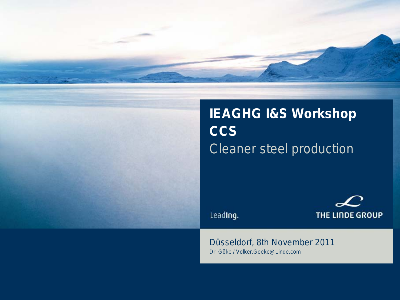



# **IEAGHG I&S Workshop CCS**  Cleaner steel production

Leading.

THE LINDE GROUP

#### Düsseldorf, 8th November 2011 Dr. Göke / Volker.Goeke@Linde.com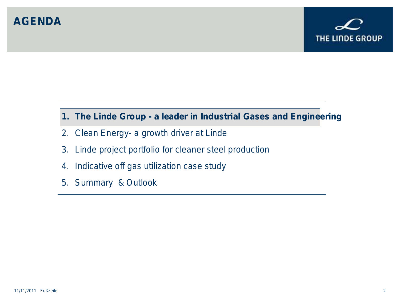#### **AGENDA**



#### **1. The Linde Group - a leader in Industrial Gases and Engineering**

- 2. Clean Energy- a growth driver at Linde
- 3. Linde project portfolio for cleaner steel production
- 4. Indicative off gas utilization case study
- 5. Summary & Outlook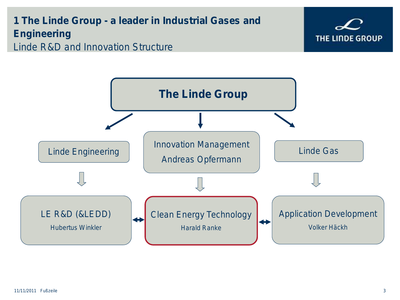#### **1 The Linde Group - a leader in Industrial Gases and Engineering** Linde R&D and Innovation Structure



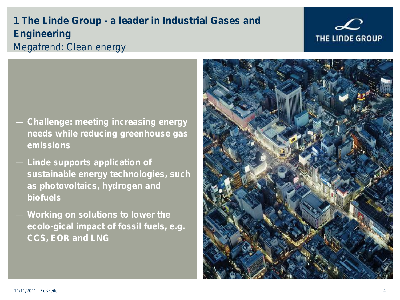#### 11/11/2011 Fußzeile 4

**1 The Linde Group - a leader in Industrial Gases and Engineering** Megatrend: Clean energy

- **Challenge: meeting increasing energy needs while reducing greenhouse gas emissions**
- **Linde supports application of sustainable energy technologies, such as photovoltaics, hydrogen and biofuels**
- **Working on solutions to lower the ecolo-gical impact of fossil fuels, e.g. CCS, EOR and LNG**



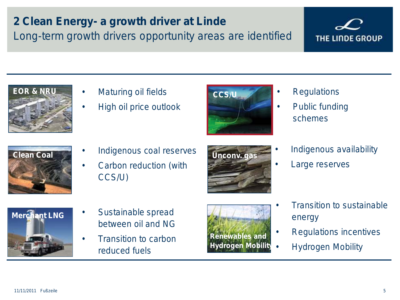# **2 Clean Energy- a growth driver at Linde**

Long-term growth drivers opportunity areas are identified



- **Maturing oil fields**
- High oil price outlook



- **Regulations**
- Public funding schemes



- Indigenous coal reserves **Clean Coal Unconv. gas**
	- Carbon reduction (with CCS/U)



• Indigenous availability

THE LINDE GROUP

Large reserves



- Sustainable spread between oil and NG
- Transition to carbon reduced fuels



- Transition to sustainable energy
- Regulations incentives
- Hydrogen Mobility

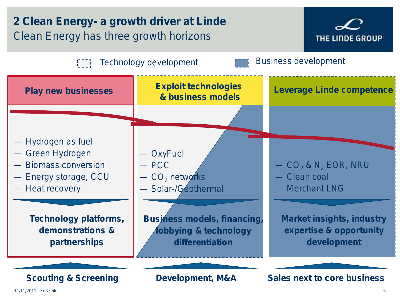# **2 Clean Energy- a growth driver at Linde**  Clean Energy has three growth horizons



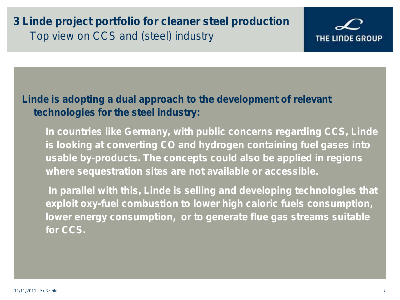#### **3 Linde project portfolio for cleaner steel production** Top view on CCS and (steel) industry

#### **Linde is adopting a dual approach to the development of relevant technologies for the steel industry:**

**In countries like Germany, with public concerns regarding CCS, Linde is looking at converting CO and hydrogen containing fuel gases into usable by-products. The concepts could also be applied in regions where sequestration sites are not available or accessible.**

**In parallel with this, Linde is selling and developing technologies that exploit oxy-fuel combustion to lower high caloric fuels consumption, lower energy consumption, or to generate flue gas streams suitable for CCS.** 

THE LINDE GROUP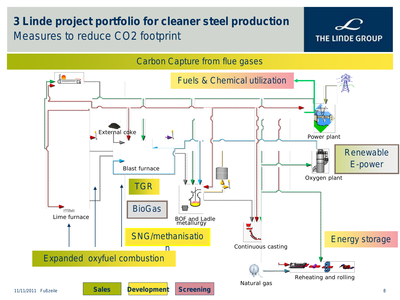# **3 Linde project portfolio for cleaner steel production** Measures to reduce CO2 footprint



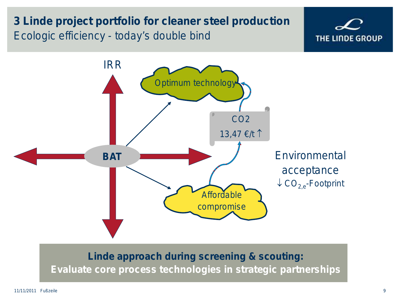#### **3 Linde project portfolio for cleaner steel production** Ecologic efficiency - today's double bind



**Linde approach during screening & scouting:** 

**Evaluate core process technologies in strategic partnerships**

THE LINDE GROUP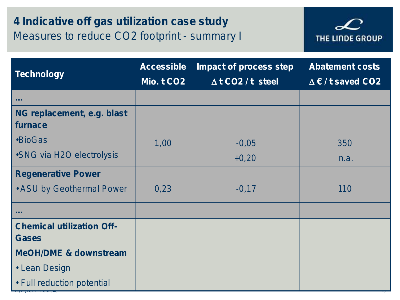# **4 Indicative off gas utilization case study** Measures to reduce CO2 footprint - summary I



| <b>Technology</b>                                | <b>Accessible</b> | Impact of process step      | <b>Abatement costs</b>     |
|--------------------------------------------------|-------------------|-----------------------------|----------------------------|
|                                                  | Mio. t CO2        | $\triangle$ t CO2 / t steel | $\Delta \in I$ t saved CO2 |
| <b>ALC N</b>                                     |                   |                             |                            |
| NG replacement, e.g. blast<br>furnace            |                   |                             |                            |
| •BioGas                                          | 1,00              | $-0,05$                     | 350                        |
| •SNG via H2O electrolysis                        |                   | $+0,20$                     | n.a.                       |
| <b>Regenerative Power</b>                        |                   |                             |                            |
| • ASU by Geothermal Power                        | 0,23              | $-0,17$                     | 110                        |
| <b>.</b>                                         |                   |                             |                            |
| <b>Chemical utilization Off-</b><br><b>Gases</b> |                   |                             |                            |
| <b>MeOH/DME &amp; downstream</b>                 |                   |                             |                            |
| • Lean Design                                    |                   |                             |                            |
| • Full reduction potential                       |                   |                             |                            |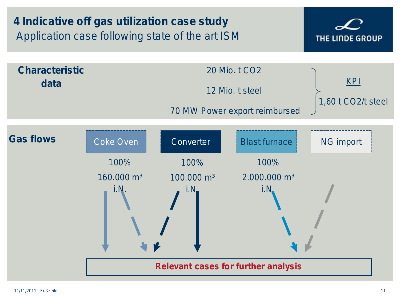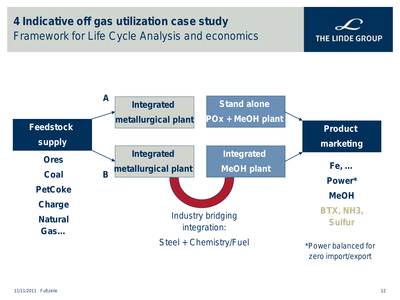# **4 Indicative off gas utilization case study** Framework for Life Cycle Analysis and economics



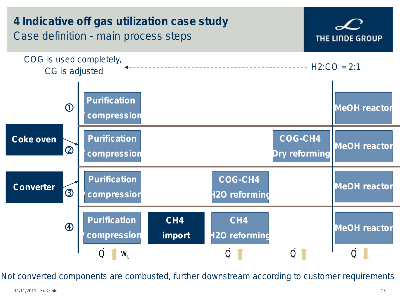

Not converted components are combusted, further downstream according to customer requirements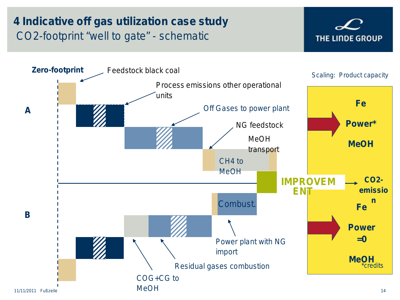# **4 Indicative off gas utilization case study** CO2-footprint "well to gate" - schematic



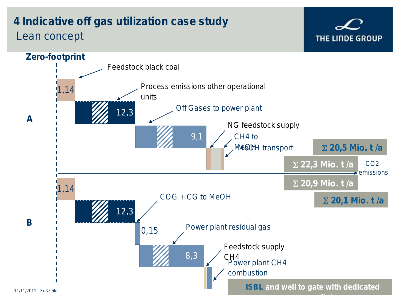# **4 Indicative off gas utilization case study** Lean concept



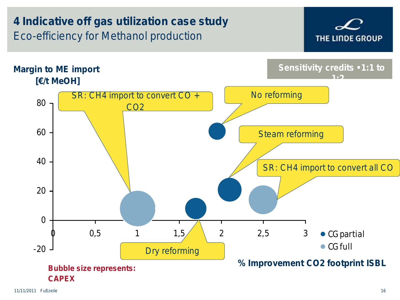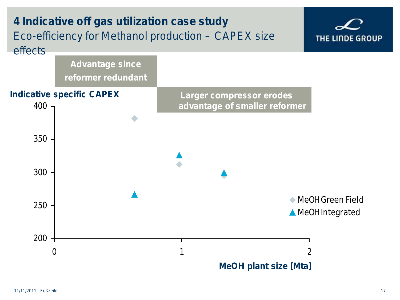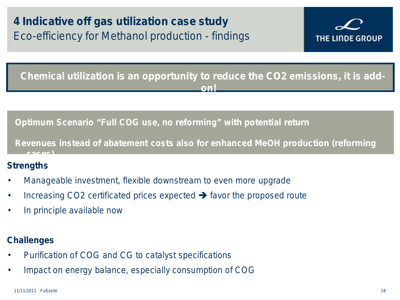

**Chemical utilization is an opportunity to reduce the CO2 emissions, it is addon!**

**Optimum Scenario "Full COG use, no reforming" with potential return** 

**Revenues instead of abatement costs also for enhanced MeOH production (reforming cases)**

#### **Strengths**

- Manageable investment, flexible downstream to even more upgrade
- Increasing CO2 certificated prices expected  $\rightarrow$  favor the proposed route
- In principle available now

#### **Challenges**

- Purification of COG and CG to catalyst specifications
- Impact on energy balance, especially consumption of COG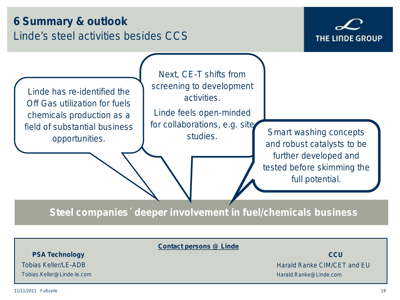#### **6 Summary & outlook** Linde's steel activities besides CCS



Linde has re-identified the Off Gas utilization for fuels chemicals production as a field of substantial business

Next, CE-T shifts from screening to development activities.

Linde feels open-minded for collaborations, e.g. site studies.

opportunities. The studies. Smart washing concepts opportunities. and robust catalysts to be further developed and tested before skimming the full potential.

**Steel companies´ deeper involvement in fuel/chemicals business** 

**Contact persons @ Linde**

**CCU** Harald Ranke CIM/CET and EU Harald.Ranke@Linde.com

**PSA Technology**

Tobias Keller/LE-ADB

Tobias.Keller@Linde-le.com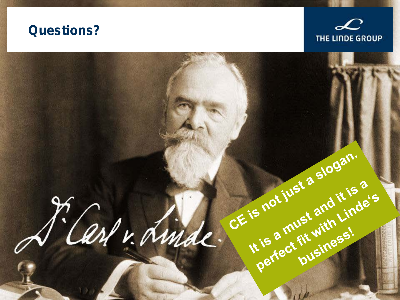# **Questions?**